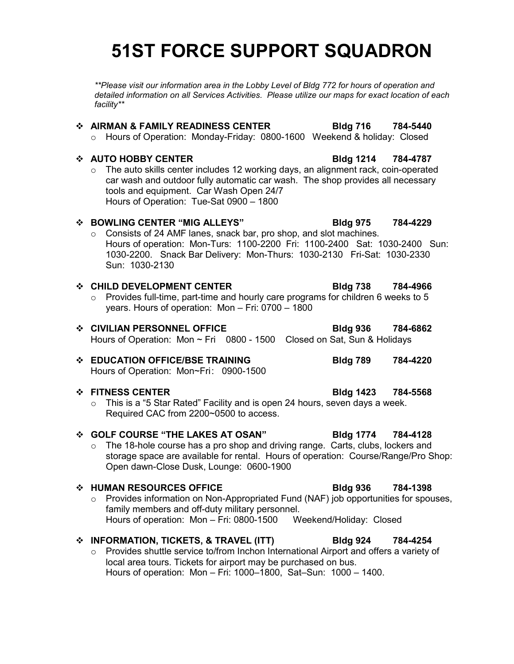# **51ST FORCE SUPPORT SQUADRON**

*\*\*Please visit our information area in the Lobby Level of Bldg 772 for hours of operation and detailed information on all Services Activities. Please utilize our maps for exact location of each facility\*\**

# **AIRMAN & FAMILY READINESS CENTER Bldg 716 784-5440** o Hours of Operation: Monday-Friday: 0800-1600 Weekend & holiday: Closed **AUTO HOBBY CENTER Bldg 1214 784-4787** o The auto skills center includes 12 working days, an alignment rack, coin-operated car wash and outdoor fully automatic car wash. The shop provides all necessary tools and equipment. Car Wash Open 24/7 Hours of Operation: Tue-Sat 0900 – 1800 **BOWLING CENTER "MIG ALLEYS" Bldg 975 784-4229** o Consists of 24 AMF lanes, snack bar, pro shop, and slot machines. Hours of operation: Mon-Turs: 1100-2200 Fri: 1100-2400 Sat: 1030-2400 Sun: 1030-2200. Snack Bar Delivery: Mon-Thurs: 1030-2130 Fri-Sat: 1030-2330 Sun: 1030-2130 **CHILD DEVELOPMENT CENTER Bldg 738 784-4966**  $\circ$  Provides full-time, part-time and hourly care programs for children 6 weeks to 5 years. Hours of operation: Mon – Fri: 0700 – 1800 **CIVILIAN PERSONNEL OFFICE Bldg 936 784-6862** Hours of Operation: Mon ~ Fri 0800 - 1500 Closed on Sat, Sun & Holidays **EDUCATION OFFICE/BSE TRAINING Bldg 789 784-4220** Hours of Operation: Mon~Fri: 0900-1500 **FITNESS CENTER Bldg 1423 784-5568** o This is a "5 Star Rated" Facility and is open 24 hours, seven days a week. Required CAC from 2200~0500 to access. **GOLF COURSE "THE LAKES AT OSAN" Bldg 1774 784-4128**  $\circ$  The 18-hole course has a pro shop and driving range. Carts, clubs, lockers and Open dawn-Close Dusk, Lounge: 0600-1900 **HUMAN RESOURCES OFFICE Bldg 936 784-1398** family members and off-duty military personnel. Hours of operation: Mon - Fri: 0800-1500 Weekend/Holiday: Closed **INFORMATION, TICKETS, & TRAVEL (ITT) Bldg 924 784-4254** o Provides shuttle service to/from Inchon International Airport and offers a variety of local area tours. Tickets for airport may be purchased on bus. Hours of operation: Mon – Fri: 1000–1800, Sat–Sun: 1000 – 1400.

- storage space are available for rental. Hours of operation: Course/Range/Pro Shop:
- o Provides information on Non-Appropriated Fund (NAF) job opportunities for spouses,
-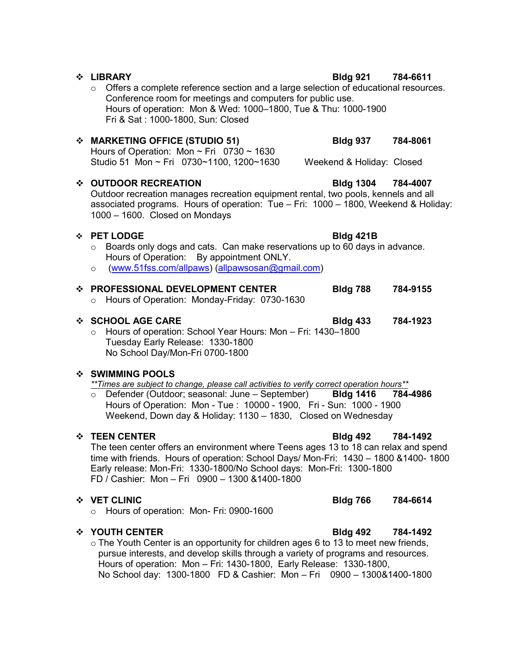$\circ$  Offers a complete reference section and a large selection of educational resources. Conference room for meetings and computers for public use. Hours of operation: Mon & Wed: 1000–1800, Tue & Thu: 1000-1900 Fri & Sat : 1000-1800, Sun: Closed

# **MARKETING OFFICE (STUDIO 51) Bldg 937 784-8061**

Hours of Operation: Mon  $\sim$  Fri 0730  $\sim$  1630 Studio 51 Mon ~ Fri 0730~1100, 1200~1630 Weekend & Holiday: Closed

# **OUTDOOR RECREATION Bldg 1304 784-4007**

Outdoor recreation manages recreation equipment rental, two pools, kennels and all associated programs. Hours of operation: Tue – Fri: 1000 – 1800, Weekend & Holiday: 1000 – 1600. Closed on Mondays

### **PET LODGE Bldg 421B**

# $\circ$  Boards only dogs and cats. Can make reservations up to 60 days in advance. Hours of Operation: By appointment ONLY.

o [\(www.51fss.com/allpaws\)](http://www.51fss.com/allpaws) [\(allpawsosan@gmail.com\)](mailto:allpawsosan@gmail.com)

### **PROFESSIONAL DEVELOPMENT CENTER Bldg 788 784-9155**

o Hours of Operation: Monday-Friday: 0730-1630

### **SCHOOL AGE CARE Bldg 433 784-1923**

o Hours of operation: School Year Hours: Mon – Fri: 1430–1800 Tuesday Early Release: 1330-1800 No School Day/Mon-Fri 0700-1800

## **SWIMMING POOLS**

*\*\*Times are subject to change, please call activities to verify correct operation hours\*\**

o Defender (Outdoor; seasonal: June – September) **Bldg 1416 784-4986** Hours of Operation: Mon - Tue : 10000 - 1900, Fri - Sun: 1000 - 1900 Weekend, Down day & Holiday: 1130 – 1830, Closed on Wednesday

The teen center offers an environment where Teens ages 13 to 18 can relax and spend time with friends. Hours of operation: School Days/ Mon-Fri: 1430 – 1800 &1400- 1800 Early release: Mon-Fri: 1330-1800/No School days: Mon-Fri: 1300-1800 FD / Cashier: Mon – Fri 0900 – 1300 &1400-1800

## **VET CLINIC Bldg 766 784-6614**

o Hours of operation: Mon- Fri: 0900-1600

## **YOUTH CENTER Bldg 492 784-1492**

 $\circ$  The Youth Center is an opportunity for children ages 6 to 13 to meet new friends, pursue interests, and develop skills through a variety of programs and resources. Hours of operation: Mon – Fri: 1430-1800, Early Release: 1330-1800, No School day: 1300-1800 FD & Cashier: Mon – Fri 0900 – 1300&1400-1800

### **LIBRARY Bldg 921 784-6611**

# ◆ TEEN CENTER **Bldg 492 784-1492**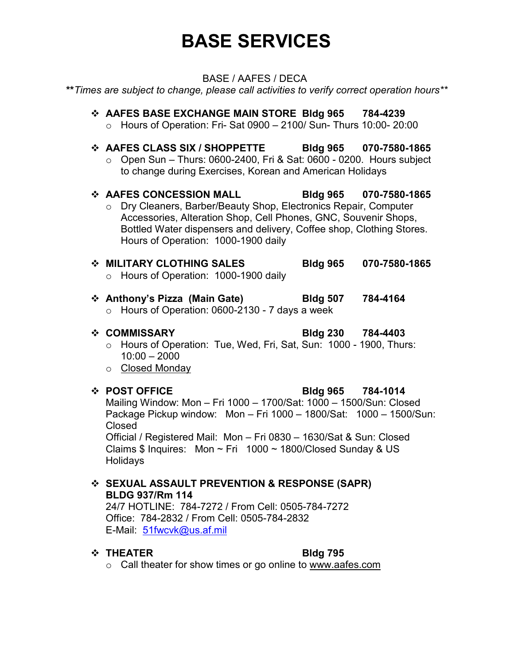# **BASE SERVICES**

# BASE / AAFES / DECA

**\*\****Times are subject to change, please call activities to verify correct operation hours\*\**

# **AAFES BASE EXCHANGE MAIN STORE Bldg 965 784-4239**  $\circ$  Hours of Operation: Fri- Sat 0900 - 2100/ Sun- Thurs 10:00- 20:00 **AAFES CLASS SIX / SHOPPETTE Bldg 965 070-7580-1865**  $\circ$  Open Sun – Thurs: 0600-2400, Fri & Sat: 0600 - 0200. Hours subject

to change during Exercises, Korean and American Holidays

# **AAFES CONCESSION MALL Bldg 965 070-7580-1865** o Dry Cleaners, Barber/Beauty Shop, Electronics Repair, Computer Accessories, Alteration Shop, Cell Phones, GNC, Souvenir Shops, Bottled Water dispensers and delivery, Coffee shop, Clothing Stores. Hours of Operation: 1000-1900 daily

- **MILITARY CLOTHING SALES Bldg 965 070-7580-1865** o Hours of Operation: 1000-1900 daily
- **Anthony's Pizza (Main Gate) Bldg 507 784-4164**
	- o Hours of Operation: 0600-2130 7 days a week

**COMMISSARY Bldg 230 784-4403**

- o Hours of Operation: Tue, Wed, Fri, Sat, Sun: 1000 1900, Thurs: 10:00 – 2000
- o Closed Monday

# **POST OFFICE Bldg 965 784-1014**

Mailing Window: Mon – Fri 1000 – 1700/Sat: 1000 – 1500/Sun: Closed Package Pickup window: Mon – Fri 1000 – 1800/Sat: 1000 – 1500/Sun: Closed

Official / Registered Mail: Mon – Fri 0830 – 1630/Sat & Sun: Closed Claims  $$$  Inquires: Mon  $\sim$  Fri 1000  $\sim$  1800/Closed Sunday & US Holidays

# **SEXUAL ASSAULT PREVENTION & RESPONSE (SAPR) BLDG 937/Rm 114**

24/7 HOTLINE: 784-7272 / From Cell: 0505-784-7272 Office: 784-2832 / From Cell: 0505-784-2832 E-Mail: [51fwcvk@us.af.mil](mailto:51fwcvk@us.af.mil)

# ◆ THEATER Bldg 795

o Call theater for show times or go online to www.aafes.com